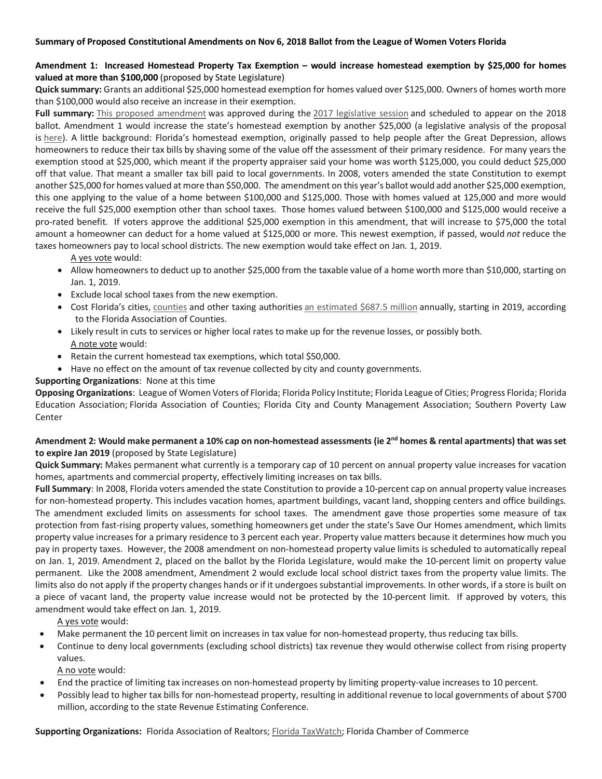#### **Summary of Proposed Constitutional Amendments on Nov 6, 2018 Ballot from the League of Women Voters Florida**

### **Amendment 1: Increased Homestead Property Tax Exemption – would increase homestead exemption by \$25,000 for homes valued at more than \$100,000** (proposed by State Legislature)

**Quick summary:** Grants an additional \$25,000 homestead exemption for homes valued over \$125,000. Owners of homes worth more than \$100,000 would also receive an increase in their exemption.

Full summary: This proposed amendment was approved during the 2017 legislative session and scheduled to appear on the 2018 ballot. Amendment 1 would increase the state's homestead exemption by another \$25,000 (a legislative analysis of the proposal is here). A little background: Florida's homestead exemption, originally passed to help people after the Great Depression, allows homeowners to reduce their tax bills by shaving some of the value off the assessment of their primary residence. For many years the exemption stood at \$25,000, which meant if the property appraiser said your home was worth \$125,000, you could deduct \$25,000 off that value. That meant a smaller tax bill paid to local governments. In 2008, voters amended the state Constitution to exempt another \$25,000 for homes valued at more than \$50,000. The amendment on this year's ballot would add another \$25,000 exemption, this one applying to the value of a home between \$100,000 and \$125,000. Those with homes valued at 125,000 and more would receive the full \$25,000 exemption other than school taxes. Those homes valued between \$100,000 and \$125,000 would receive a pro-rated benefit. If voters approve the additional \$25,000 exemption in this amendment, that will increase to \$75,000 the total amount a homeowner can deduct for a home valued at \$125,000 or more. This newest exemption, if passed, would *not* reduce the taxes homeowners pay to local school districts. The new exemption would take effect on Jan. 1, 2019.

A yes vote would:

- Allow homeowners to deduct up to another \$25,000 from the taxable value of a home worth more than \$10,000, starting on Jan. 1, 2019.
- Exclude local school taxes from the new exemption.
- Cost Florida's cities, counties and other taxing authorities an estimated \$687.5 million annually, starting in 2019, according to the Florida Association of Counties.
- Likely result in cuts to services or higher local rates to make up for the revenue losses, or possibly both. A note vote would:
- Retain the current homestead tax exemptions, which total \$50,000.
- Have no effect on the amount of tax revenue collected by city and county governments.

#### **Supporting Organizations**: None at this time

**Opposing Organizations**: League of Women Voters of Florida; Florida Policy Institute; Florida League of Cities; Progress Florida; Florida Education Association; Florida Association of Counties; Florida City and County Management Association; Southern Poverty Law Center

### **Amendment 2: Would make permanent a 10% cap on non-homestead assessments (ie 2nd homes & rental apartments) that was set to expire Jan 2019** (proposed by State Legislature)

**Quick Summary:** Makes permanent what currently is a temporary cap of 10 percent on annual property value increases for vacation homes, apartments and commercial property, effectively limiting increases on tax bills.

**Full Summary**: In 2008, Florida voters amended the state Constitution to provide a 10-percent cap on annual property value increases for non-homestead property. This includes vacation homes, apartment buildings, vacant land, shopping centers and office buildings. The amendment excluded limits on assessments for school taxes. The amendment gave those properties some measure of tax protection from fast-rising property values, something homeowners get under the state's Save Our Homes amendment, which limits property value increases for a primary residence to 3 percent each year. Property value matters because it determines how much you pay in property taxes. However, the 2008 amendment on non-homestead property value limits is scheduled to automatically repeal on Jan. 1, 2019. Amendment 2, placed on the ballot by the Florida Legislature, would make the 10-percent limit on property value permanent. Like the 2008 amendment, Amendment 2 would exclude local school district taxes from the property value limits. The limits also do not apply if the property changes hands or if it undergoes substantial improvements. In other words, if a store is built on a piece of vacant land, the property value increase would not be protected by the 10-percent limit. If approved by voters, this amendment would take effect on Jan. 1, 2019.

A yes vote would:

- Make permanent the 10 percent limit on increases in tax value for non-homestead property, thus reducing tax bills.
- Continue to deny local governments (excluding school districts) tax revenue they would otherwise collect from rising property values.

A no vote would:

- End the practice of limiting tax increases on non-homestead property by limiting property-value increases to 10 percent.
- Possibly lead to higher tax bills for non-homestead property, resulting in additional revenue to local governments of about \$700 million, according to the state Revenue Estimating Conference.

**Supporting Organizations:** Florida Association of Realtors; Florida TaxWatch; Florida Chamber of Commerce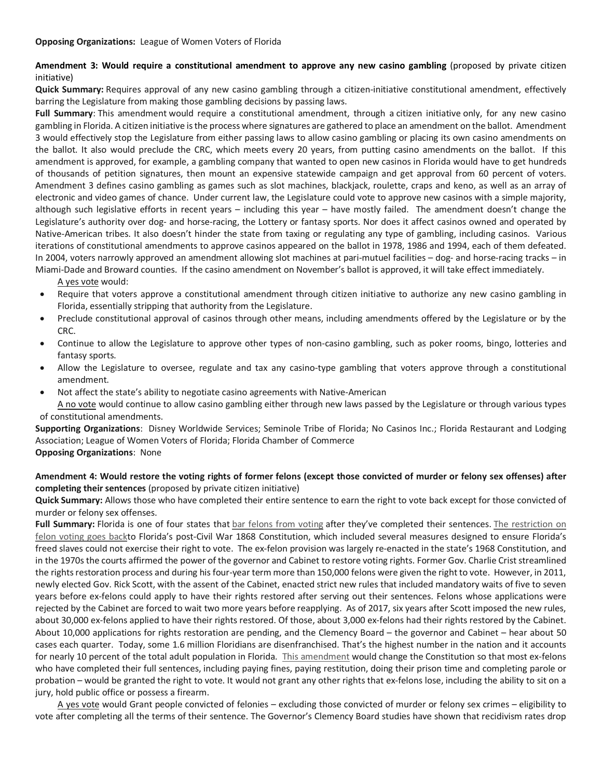# Amendment 3: Would require a constitutional amendment to approve any new casino gambling (proposed by private citizen initiative)

**Quick Summary:** Requires approval of any new casino gambling through a citizen-initiative constitutional amendment, effectively barring the Legislature from making those gambling decisions by passing laws.

**Full Summary**: This amendment would require a constitutional amendment, through a citizen initiative only, for any new casino gambling in Florida. A citizen initiative is the process where signatures are gathered to place an amendment on the ballot. Amendment 3 would effectively stop the Legislature from either passing laws to allow casino gambling or placing its own casino amendments on the ballot. It also would preclude the CRC, which meets every 20 years, from putting casino amendments on the ballot. If this amendment is approved, for example, a gambling company that wanted to open new casinos in Florida would have to get hundreds of thousands of petition signatures, then mount an expensive statewide campaign and get approval from 60 percent of voters. Amendment 3 defines casino gambling as games such as slot machines, blackjack, roulette, craps and keno, as well as an array of electronic and video games of chance. Under current law, the Legislature could vote to approve new casinos with a simple majority, although such legislative efforts in recent years – including this year – have mostly failed. The amendment doesn't change the Legislature's authority over dog- and horse-racing, the Lottery or fantasy sports. Nor does it affect casinos owned and operated by Native-American tribes. It also doesn't hinder the state from taxing or regulating any type of gambling, including casinos. Various iterations of constitutional amendments to approve casinos appeared on the ballot in 1978, 1986 and 1994, each of them defeated. In 2004, voters narrowly approved an amendment allowing slot machines at pari-mutuel facilities – dog- and horse-racing tracks – in Miami-Dade and Broward counties. If the casino amendment on November's ballot is approved, it will take effect immediately.

A yes vote would:

- Require that voters approve a constitutional amendment through citizen initiative to authorize any new casino gambling in Florida, essentially stripping that authority from the Legislature.
- Preclude constitutional approval of casinos through other means, including amendments offered by the Legislature or by the CRC.
- Continue to allow the Legislature to approve other types of non-casino gambling, such as poker rooms, bingo, lotteries and fantasy sports.
- Allow the Legislature to oversee, regulate and tax any casino-type gambling that voters approve through a constitutional amendment.
- Not affect the state's ability to negotiate casino agreements with Native-American
- A no vote would continue to allow casino gambling either through new laws passed by the Legislature or through various types of constitutional amendments.

**Supporting Organizations**: Disney Worldwide Services; Seminole Tribe of Florida; No Casinos Inc.; Florida Restaurant and Lodging Association; League of Women Voters of Florida; Florida Chamber of Commerce

**Opposing Organizations**: None

### **Amendment 4: Would restore the voting rights of former felons (except those convicted of murder or felony sex offenses) after completing their sentences** (proposed by private citizen initiative)

**Quick Summary:** Allows those who have completed their entire sentence to earn the right to vote back except for those convicted of murder or felony sex offenses.

Full Summary: Florida is one of four states that bar felons from voting after they've completed their sentences. The restriction on felon voting goes backto Florida's post-Civil War 1868 Constitution, which included several measures designed to ensure Florida's freed slaves could not exercise their right to vote. The ex-felon provision was largely re-enacted in the state's 1968 Constitution, and in the 1970s the courts affirmed the power of the governor and Cabinet to restore voting rights. Former Gov. Charlie Crist streamlined the rights restoration process and during his four-year term more than 150,000 felons were given the right to vote. However, in 2011, newly elected Gov. Rick Scott, with the assent of the Cabinet, enacted strict new rules that included mandatory waits of five to seven years before ex-felons could apply to have their rights restored after serving out their sentences. Felons whose applications were rejected by the Cabinet are forced to wait two more years before reapplying. As of 2017, six years after Scott imposed the new rules, about 30,000 ex-felons applied to have their rights restored. Of those, about 3,000 ex-felons had their rights restored by the Cabinet. About 10,000 applications for rights restoration are pending, and the Clemency Board – the governor and Cabinet – hear about 50 cases each quarter. Today, some 1.6 million Floridians are disenfranchised. That's the highest number in the nation and it accounts for nearly 10 percent of the total adult population in Florida. This amendment would change the Constitution so that most ex-felons who have completed their full sentences, including paying fines, paying restitution, doing their prison time and completing parole or probation – would be granted the right to vote. It would not grant any other rights that ex-felons lose, including the ability to sit on a jury, hold public office or possess a firearm.

A yes vote would Grant people convicted of felonies – excluding those convicted of murder or felony sex crimes – eligibility to vote after completing all the terms of their sentence. The Governor's Clemency Board studies have shown that recidivism rates drop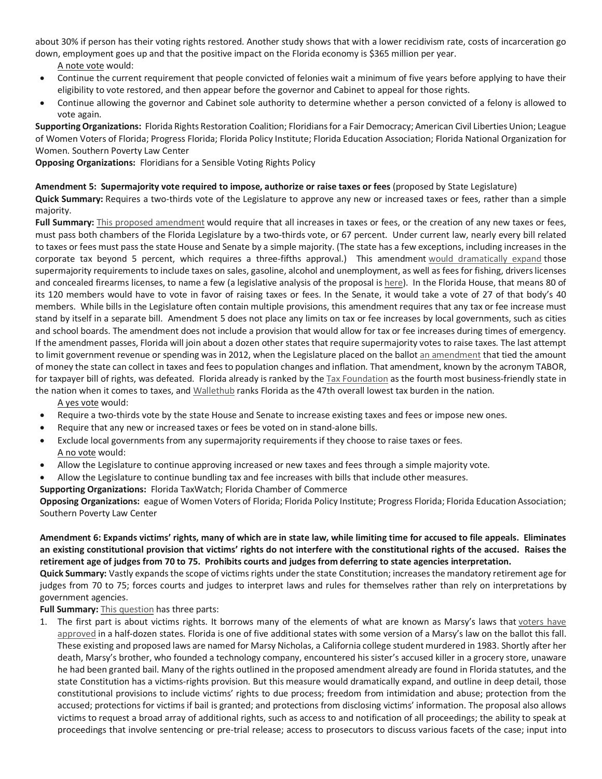about 30% if person has their voting rights restored. Another study shows that with a lower recidivism rate, costs of incarceration go down, employment goes up and that the positive impact on the Florida economy is \$365 million per year.

A note vote would:

- Continue the current requirement that people convicted of felonies wait a minimum of five years before applying to have their eligibility to vote restored, and then appear before the governor and Cabinet to appeal for those rights.
- Continue allowing the governor and Cabinet sole authority to determine whether a person convicted of a felony is allowed to vote again.

**Supporting Organizations:** Florida Rights Restoration Coalition; Floridians for a Fair Democracy; American Civil Liberties Union; League of Women Voters of Florida; Progress Florida; Florida Policy Institute; Florida Education Association; Florida National Organization for Women. Southern Poverty Law Center

**Opposing Organizations:** Floridians for a Sensible Voting Rights Policy

### **Amendment 5: Supermajority vote required to impose, authorize or raise taxes or fees** (proposed by State Legislature)

**Quick Summary:** Requires a two-thirds vote of the Legislature to approve any new or increased taxes or fees, rather than a simple majority.

Full Summary: This proposed amendment would require that all increases in taxes or fees, or the creation of any new taxes or fees, must pass both chambers of the Florida Legislature by a two-thirds vote, or 67 percent. Under current law, nearly every bill related to taxes or fees must pass the state House and Senate by a simple majority. (The state has a few exceptions, including increases in the corporate tax beyond 5 percent, which requires a three-fifths approval.) This amendment would dramatically expand those supermajority requirements to include taxes on sales, gasoline, alcohol and unemployment, as well as fees for fishing, drivers licenses and concealed firearms licenses, to name a few (a legislative analysis of the proposal is here). In the Florida House, that means 80 of its 120 members would have to vote in favor of raising taxes or fees. In the Senate, it would take a vote of 27 of that body's 40 members. While bills in the Legislature often contain multiple provisions, this amendment requires that any tax or fee increase must stand by itself in a separate bill. Amendment 5 does not place any limits on tax or fee increases by local governments, such as cities and school boards. The amendment does not include a provision that would allow for tax or fee increases during times of emergency. If the amendment passes, Florida will join about a dozen other states that require supermajority votes to raise taxes. The last attempt to limit government revenue or spending was in 2012, when the Legislature placed on the ballot an amendment that tied the amount of money the state can collect in taxes and fees to population changes and inflation. That amendment, known by the acronym TABOR, for taxpayer bill of rights, was defeated. Florida already is ranked by the Tax Foundation as the fourth most business-friendly state in the nation when it comes to taxes, and Wallethub ranks Florida as the 47th overall lowest tax burden in the nation.

A yes vote would:

- Require a two-thirds vote by the state House and Senate to increase existing taxes and fees or impose new ones.
- Require that any new or increased taxes or fees be voted on in stand-alone bills.
- Exclude local governments from any supermajority requirements if they choose to raise taxes or fees. A no vote would:
- Allow the Legislature to continue approving increased or new taxes and fees through a simple majority vote.
- Allow the Legislature to continue bundling tax and fee increases with bills that include other measures.

**Supporting Organizations:** Florida TaxWatch; Florida Chamber of Commerce

**Opposing Organizations:** eague of Women Voters of Florida; Florida Policy Institute; Progress Florida; Florida Education Association; Southern Poverty Law Center

# **Amendment 6: Expands victims' rights, many of which are in state law, while limiting time for accused to file appeals. Eliminates an existing constitutional provision that victims' rights do not interfere with the constitutional rights of the accused. Raises the retirement age of judges from 70 to 75. Prohibits courts and judges from deferring to state agencies interpretation.**

**Quick Summary:** Vastly expands the scope of victims rights under the state Constitution; increases the mandatory retirement age for judges from 70 to 75; forces courts and judges to interpret laws and rules for themselves rather than rely on interpretations by government agencies.

**Full Summary:** This question has three parts:

1. The first part is about victims rights. It borrows many of the elements of what are known as Marsy's laws that voters have approved in a half-dozen states. Florida is one of five additional states with some version of a Marsy's law on the ballot this fall. These existing and proposed laws are named for Marsy Nicholas, a California college student murdered in 1983. Shortly after her death, Marsy's brother, who founded a technology company, encountered his sister's accused killer in a grocery store, unaware he had been granted bail. Many of the rights outlined in the proposed amendment already are found in Florida statutes, and the state Constitution has a victims-rights provision. But this measure would dramatically expand, and outline in deep detail, those constitutional provisions to include victims' rights to due process; freedom from intimidation and abuse; protection from the accused; protections for victims if bail is granted; and protections from disclosing victims' information. The proposal also allows victims to request a broad array of additional rights, such as access to and notification of all proceedings; the ability to speak at proceedings that involve sentencing or pre-trial release; access to prosecutors to discuss various facets of the case; input into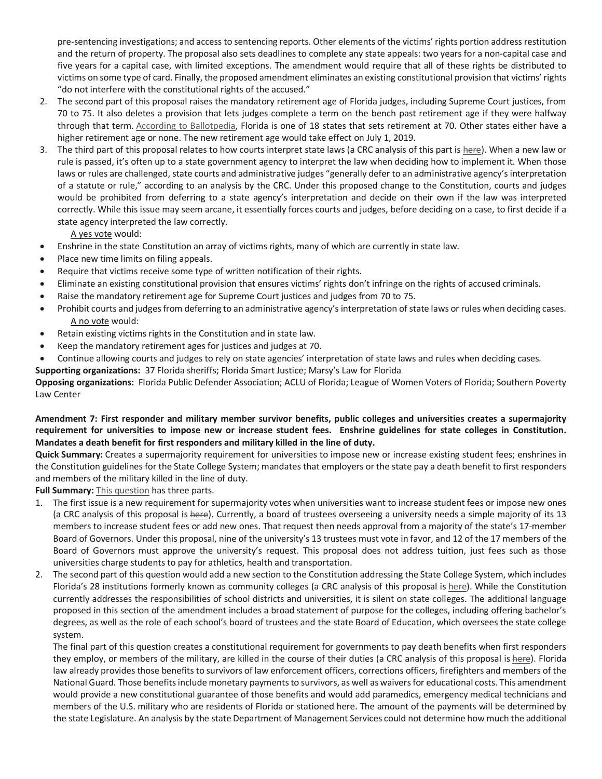pre-sentencing investigations; and access to sentencing reports. Other elements of the victims' rights portion address restitution and the return of property. The proposal also sets deadlines to complete any state appeals: two years for a non-capital case and five years for a capital case, with limited exceptions. The amendment would require that all of these rights be distributed to victims on some type of card. Finally, the proposed amendment eliminates an existing constitutional provision that victims' rights "do not interfere with the constitutional rights of the accused."

- 2. The second part of this proposal raises the mandatory retirement age of Florida judges, including Supreme Court justices, from 70 to 75. It also deletes a provision that lets judges complete a term on the bench past retirement age if they were halfway through that term. According to Ballotpedia, Florida is one of 18 states that sets retirement at 70. Other states either have a higher retirement age or none. The new retirement age would take effect on July 1, 2019.
- 3. The third part of this proposal relates to how courts interpret state laws (a CRC analysis of this part is here). When a new law or rule is passed, it's often up to a state government agency to interpret the law when deciding how to implement it. When those laws or rules are challenged, state courts and administrative judges "generally defer to an administrative agency's interpretation of a statute or rule," according to an analysis by the CRC. Under this proposed change to the Constitution, courts and judges would be prohibited from deferring to a state agency's interpretation and decide on their own if the law was interpreted correctly. While this issue may seem arcane, it essentially forces courts and judges, before deciding on a case, to first decide if a state agency interpreted the law correctly.

A yes vote would:

- Enshrine in the state Constitution an array of victims rights, many of which are currently in state law.
- Place new time limits on filing appeals.
- Require that victims receive some type of written notification of their rights.
- Eliminate an existing constitutional provision that ensures victims' rights don't infringe on the rights of accused criminals.
- Raise the mandatory retirement age for Supreme Court justices and judges from 70 to 75.
- Prohibit courts and judges from deferring to an administrative agency's interpretation of state laws or rules when deciding cases. A no vote would:
- Retain existing victims rights in the Constitution and in state law.
- Keep the mandatory retirement ages for justices and judges at 70.
- Continue allowing courts and judges to rely on state agencies' interpretation of state laws and rules when deciding cases.

**Supporting organizations:** 37 Florida sheriffs; Florida Smart Justice; Marsy's Law for Florida

**Opposing organizations:** Florida Public Defender Association; ACLU of Florida; League of Women Voters of Florida; Southern Poverty Law Center

### **Amendment 7: First responder and military member survivor benefits, public colleges and universities creates a supermajority requirement for universities to impose new or increase student fees. Enshrine guidelines for state colleges in Constitution. Mandates a death benefit for first responders and military killed in the line of duty.**

**Quick Summary:** Creates a supermajority requirement for universities to impose new or increase existing student fees; enshrines in the Constitution guidelines for the State College System; mandates that employers or the state pay a death benefit to first responders and members of the military killed in the line of duty.

**Full Summary:** This question has three parts.

- 1. The first issue is a new requirement for supermajority votes when universities want to increase student fees or impose new ones (a CRC analysis of this proposal is here). Currently, a board of trustees overseeing a university needs a simple majority of its 13 members to increase student fees or add new ones. That request then needs approval from a majority of the state's 17-member Board of Governors. Under this proposal, nine of the university's 13 trustees must vote in favor, and 12 of the 17 members of the Board of Governors must approve the university's request. This proposal does not address tuition, just fees such as those universities charge students to pay for athletics, health and transportation.
- 2. The second part of this question would add a new section to the Constitution addressing the State College System, which includes Florida's 28 institutions formerly known as community colleges (a CRC analysis of this proposal is here). While the Constitution currently addresses the responsibilities of school districts and universities, it is silent on state colleges. The additional language proposed in this section of the amendment includes a broad statement of purpose for the colleges, including offering bachelor's degrees, as well as the role of each school's board of trustees and the state Board of Education, which oversees the state college system.

The final part of this question creates a constitutional requirement for governments to pay death benefits when first responders they employ, or members of the military, are killed in the course of their duties (a CRC analysis of this proposal is here). Florida law already provides those benefits to survivors of law enforcement officers, corrections officers, firefighters and members of the National Guard. Those benefits include monetary payments to survivors, as well as waivers for educational costs. This amendment would provide a new constitutional guarantee of those benefits and would add paramedics, emergency medical technicians and members of the U.S. military who are residents of Florida or stationed here. The amount of the payments will be determined by the state Legislature. An analysis by the state Department of Management Services could not determine how much the additional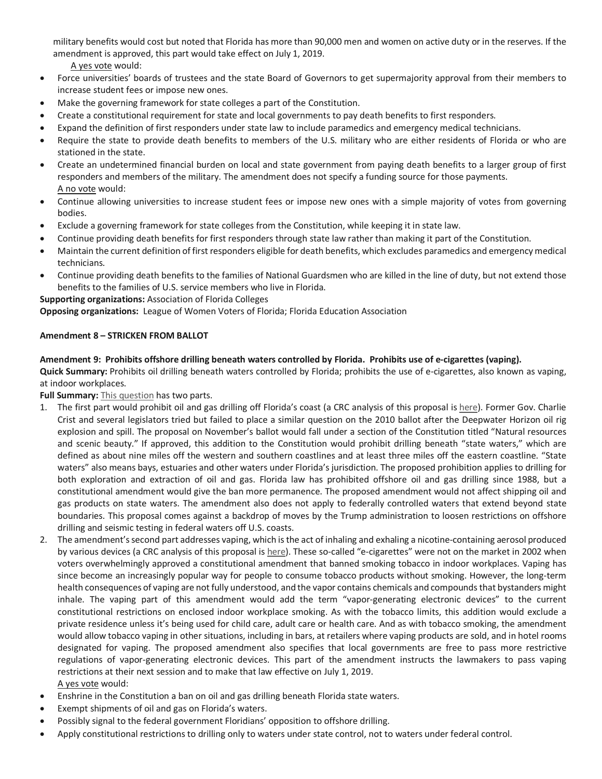military benefits would cost but noted that Florida has more than 90,000 men and women on active duty or in the reserves. If the amendment is approved, this part would take effect on July 1, 2019.

A yes vote would:

- Force universities' boards of trustees and the state Board of Governors to get supermajority approval from their members to increase student fees or impose new ones.
- Make the governing framework for state colleges a part of the Constitution.
- Create a constitutional requirement for state and local governments to pay death benefits to first responders.
- Expand the definition of first responders under state law to include paramedics and emergency medical technicians.
- Require the state to provide death benefits to members of the U.S. military who are either residents of Florida or who are stationed in the state.
- Create an undetermined financial burden on local and state government from paying death benefits to a larger group of first responders and members of the military. The amendment does not specify a funding source for those payments. A no vote would:
- Continue allowing universities to increase student fees or impose new ones with a simple majority of votes from governing bodies.
- Exclude a governing framework for state colleges from the Constitution, while keeping it in state law.
- Continue providing death benefits for first responders through state law rather than making it part of the Constitution.
- Maintain the current definition of first responders eligible for death benefits, which excludes paramedics and emergency medical technicians.
- Continue providing death benefits to the families of National Guardsmen who are killed in the line of duty, but not extend those benefits to the families of U.S. service members who live in Florida.

**Supporting organizations:** Association of Florida Colleges

**Opposing organizations:** League of Women Voters of Florida; Florida Education Association

### **Amendment 8 – STRICKEN FROM BALLOT**

## **Amendment 9: Prohibits offshore drilling beneath waters controlled by Florida. Prohibits use of e-cigarettes (vaping).**

**Quick Summary:** Prohibits oil drilling beneath waters controlled by Florida; prohibits the use of e-cigarettes, also known as vaping, at indoor workplaces.

**Full Summary:** This question has two parts.

- 1. The first part would prohibit oil and gas drilling off Florida's coast (a CRC analysis of this proposal is here). Former Gov. Charlie Crist and several legislators tried but failed to place a similar question on the 2010 ballot after the Deepwater Horizon oil rig explosion and spill. The proposal on November's ballot would fall under a section of the Constitution titled "Natural resources and scenic beauty." If approved, this addition to the Constitution would prohibit drilling beneath "state waters," which are defined as about nine miles off the western and southern coastlines and at least three miles off the eastern coastline. "State waters" also means bays, estuaries and other waters under Florida's jurisdiction. The proposed prohibition applies to drilling for both exploration and extraction of oil and gas. Florida law has prohibited offshore oil and gas drilling since 1988, but a constitutional amendment would give the ban more permanence. The proposed amendment would not affect shipping oil and gas products on state waters. The amendment also does not apply to federally controlled waters that extend beyond state boundaries. This proposal comes against a backdrop of moves by the Trump administration to loosen restrictions on offshore drilling and seismic testing in federal waters off U.S. coasts.
- 2. The amendment's second part addresses vaping, which is the act of inhaling and exhaling a nicotine-containing aerosol produced by various devices (a CRC analysis of this proposal is here). These so-called "e-cigarettes" were not on the market in 2002 when voters overwhelmingly approved a constitutional amendment that banned smoking tobacco in indoor workplaces. Vaping has since become an increasingly popular way for people to consume tobacco products without smoking. However, the long-term health consequences of vaping are not fully understood, and the vapor contains chemicals and compounds that bystanders might inhale. The vaping part of this amendment would add the term "vapor-generating electronic devices" to the current constitutional restrictions on enclosed indoor workplace smoking. As with the tobacco limits, this addition would exclude a private residence unless it's being used for child care, adult care or health care. And as with tobacco smoking, the amendment would allow tobacco vaping in other situations, including in bars, at retailers where vaping products are sold, and in hotel rooms designated for vaping. The proposed amendment also specifies that local governments are free to pass more restrictive regulations of vapor-generating electronic devices. This part of the amendment instructs the lawmakers to pass vaping restrictions at their next session and to make that law effective on July 1, 2019. A yes vote would:
- Enshrine in the Constitution a ban on oil and gas drilling beneath Florida state waters.
- Exempt shipments of oil and gas on Florida's waters.
- Possibly signal to the federal government Floridians' opposition to offshore drilling.
- Apply constitutional restrictions to drilling only to waters under state control, not to waters under federal control.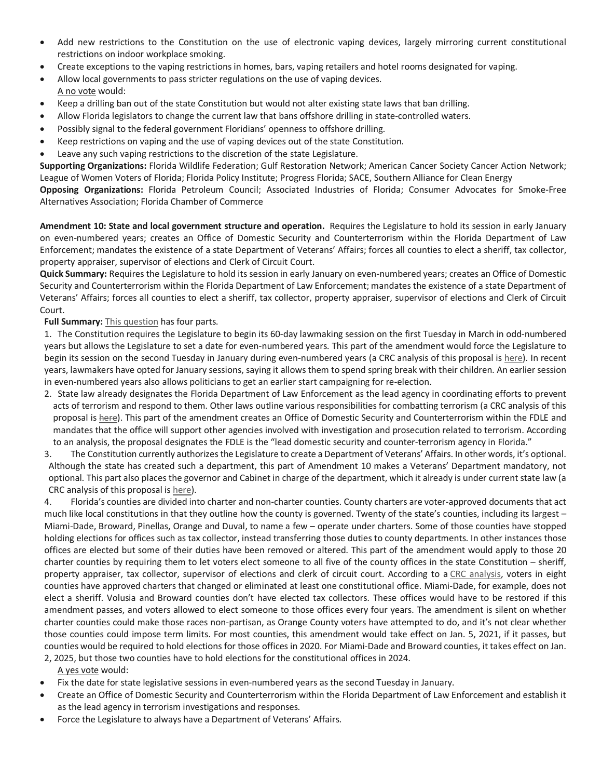- Add new restrictions to the Constitution on the use of electronic vaping devices, largely mirroring current constitutional restrictions on indoor workplace smoking.
- Create exceptions to the vaping restrictions in homes, bars, vaping retailers and hotel rooms designated for vaping.
- Allow local governments to pass stricter regulations on the use of vaping devices. A no vote would:
- Keep a drilling ban out of the state Constitution but would not alter existing state laws that ban drilling.
- Allow Florida legislators to change the current law that bans offshore drilling in state-controlled waters.
- Possibly signal to the federal government Floridians' openness to offshore drilling.
- Keep restrictions on vaping and the use of vaping devices out of the state Constitution.
- Leave any such vaping restrictions to the discretion of the state Legislature.

**Supporting Organizations:** Florida Wildlife Federation; Gulf Restoration Network; American Cancer Society Cancer Action Network; League of Women Voters of Florida; Florida Policy Institute; Progress Florida; SACE, Southern Alliance for Clean Energy

**Opposing Organizations:** Florida Petroleum Council; Associated Industries of Florida; Consumer Advocates for Smoke-Free Alternatives Association; Florida Chamber of Commerce

**Amendment 10: State and local government structure and operation.** Requires the Legislature to hold its session in early January on even-numbered years; creates an Office of Domestic Security and Counterterrorism within the Florida Department of Law Enforcement; mandates the existence of a state Department of Veterans' Affairs; forces all counties to elect a sheriff, tax collector, property appraiser, supervisor of elections and Clerk of Circuit Court.

**Quick Summary:** Requires the Legislature to hold its session in early January on even-numbered years; creates an Office of Domestic Security and Counterterrorism within the Florida Department of Law Enforcement; mandates the existence of a state Department of Veterans' Affairs; forces all counties to elect a sheriff, tax collector, property appraiser, supervisor of elections and Clerk of Circuit Court.

**Full Summary:** This question has four parts.

1. The Constitution requires the Legislature to begin its 60-day lawmaking session on the first Tuesday in March in odd-numbered years but allows the Legislature to set a date for even-numbered years. This part of the amendment would force the Legislature to begin its session on the second Tuesday in January during even-numbered years (a CRC analysis of this proposal is here). In recent years, lawmakers have opted for January sessions, saying it allows them to spend spring break with their children. An earlier session in even-numbered years also allows politicians to get an earlier start campaigning for re-election.

- 2. State law already designates the Florida Department of Law Enforcement as the lead agency in coordinating efforts to prevent acts of terrorism and respond to them. Other laws outline various responsibilities for combatting terrorism (a CRC analysis of this proposal is here). This part of the amendment creates an Office of Domestic Security and Counterterrorism within the FDLE and mandates that the office will support other agencies involved with investigation and prosecution related to terrorism. According to an analysis, the proposal designates the FDLE is the "lead domestic security and counter-terrorism agency in Florida."
- 3. The Constitution currently authorizes the Legislature to create a Department of Veterans' Affairs. In other words, it's optional. Although the state has created such a department, this part of Amendment 10 makes a Veterans' Department mandatory, not optional. This part also places the governor and Cabinet in charge of the department, which it already is under current state law (a CRC analysis of this proposal is here).

4. Florida's counties are divided into charter and non-charter counties. County charters are voter-approved documents that act much like local constitutions in that they outline how the county is governed. Twenty of the state's counties, including its largest – Miami-Dade, Broward, Pinellas, Orange and Duval, to name a few – operate under charters. Some of those counties have stopped holding elections for offices such as tax collector, instead transferring those duties to county departments. In other instances those offices are elected but some of their duties have been removed or altered. This part of the amendment would apply to those 20 charter counties by requiring them to let voters elect someone to all five of the county offices in the state Constitution – sheriff, property appraiser, tax collector, supervisor of elections and clerk of circuit court. According to a CRC analysis, voters in eight counties have approved charters that changed or eliminated at least one constitutional office. Miami-Dade, for example, does not elect a sheriff. Volusia and Broward counties don't have elected tax collectors. These offices would have to be restored if this amendment passes, and voters allowed to elect someone to those offices every four years. The amendment is silent on whether charter counties could make those races non-partisan, as Orange County voters have attempted to do, and it's not clear whether those counties could impose term limits. For most counties, this amendment would take effect on Jan. 5, 2021, if it passes, but counties would be required to hold elections for those offices in 2020. For Miami-Dade and Broward counties, it takes effect on Jan.

2, 2025, but those two counties have to hold elections for the constitutional offices in 2024. A yes vote would:

- Fix the date for state legislative sessions in even-numbered years as the second Tuesday in January.
- Create an Office of Domestic Security and Counterterrorism within the Florida Department of Law Enforcement and establish it as the lead agency in terrorism investigations and responses.
- Force the Legislature to always have a Department of Veterans' Affairs.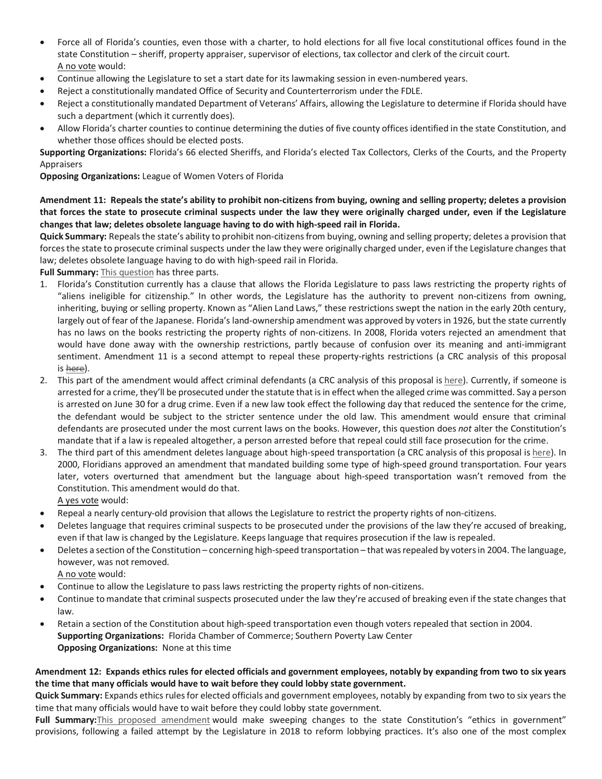- Force all of Florida's counties, even those with a charter, to hold elections for all five local constitutional offices found in the state Constitution – sheriff, property appraiser, supervisor of elections, tax collector and clerk of the circuit court. A no vote would:
- Continue allowing the Legislature to set a start date for its lawmaking session in even-numbered years.
- Reject a constitutionally mandated Office of Security and Counterterrorism under the FDLE.
- Reject a constitutionally mandated Department of Veterans' Affairs, allowing the Legislature to determine if Florida should have such a department (which it currently does).
- Allow Florida's charter counties to continue determining the duties of five county offices identified in the state Constitution, and whether those offices should be elected posts.

**Supporting Organizations:** Florida's 66 elected Sheriffs, and Florida's elected Tax Collectors, Clerks of the Courts, and the Property Appraisers

**Opposing Organizations:** League of Women Voters of Florida

**Amendment 11: Repeals the state's ability to prohibit non-citizens from buying, owning and selling property; deletes a provision that forces the state to prosecute criminal suspects under the law they were originally charged under, even if the Legislature changes that law; deletes obsolete language having to do with high-speed rail in Florida.** 

**Quick Summary:** Repeals the state's ability to prohibit non-citizens from buying, owning and selling property; deletes a provision that forces the state to prosecute criminal suspects under the law they were originally charged under, even if the Legislature changes that law; deletes obsolete language having to do with high-speed rail in Florida.

**Full Summary:** This question has three parts.

- 1. Florida's Constitution currently has a clause that allows the Florida Legislature to pass laws restricting the property rights of "aliens ineligible for citizenship." In other words, the Legislature has the authority to prevent non-citizens from owning, inheriting, buying or selling property. Known as "Alien Land Laws," these restrictions swept the nation in the early 20th century, largely out of fear of the Japanese. Florida's land-ownership amendment was approved by voters in 1926, but the state currently has no laws on the books restricting the property rights of non-citizens. In 2008, Florida voters rejected an amendment that would have done away with the ownership restrictions, partly because of confusion over its meaning and anti-immigrant sentiment. Amendment 11 is a second attempt to repeal these property-rights restrictions (a CRC analysis of this proposal is here).
- 2. This part of the amendment would affect criminal defendants (a CRC analysis of this proposal is here). Currently, if someone is arrested for a crime, they'll be prosecuted under the statute that is in effect when the alleged crime was committed. Say a person is arrested on June 30 for a drug crime. Even if a new law took effect the following day that reduced the sentence for the crime, the defendant would be subject to the stricter sentence under the old law. This amendment would ensure that criminal defendants are prosecuted under the most current laws on the books. However, this question does *not* alter the Constitution's mandate that if a law is repealed altogether, a person arrested before that repeal could still face prosecution for the crime.
- 3. The third part of this amendment deletes language about high-speed transportation (a CRC analysis of this proposal is here). In 2000, Floridians approved an amendment that mandated building some type of high-speed ground transportation. Four years later, voters overturned that amendment but the language about high-speed transportation wasn't removed from the Constitution. This amendment would do that.

A yes vote would:

- Repeal a nearly century-old provision that allows the Legislature to restrict the property rights of non-citizens.
- Deletes language that requires criminal suspects to be prosecuted under the provisions of the law they're accused of breaking, even if that law is changed by the Legislature. Keeps language that requires prosecution if the law is repealed.
- Deletes a section of the Constitution concerning high-speed transportation that was repealed by voters in 2004. The language, however, was not removed.

A no vote would:

- Continue to allow the Legislature to pass laws restricting the property rights of non-citizens.
- Continue to mandate that criminal suspects prosecuted under the law they're accused of breaking even if the state changes that law.
- Retain a section of the Constitution about high-speed transportation even though voters repealed that section in 2004. **Supporting Organizations:** Florida Chamber of Commerce; Southern Poverty Law Center **Opposing Organizations:** None at this time

## **Amendment 12: Expands ethics rules for elected officials and government employees, notably by expanding from two to six years the time that many officials would have to wait before they could lobby state government.**

**Quick Summary:** Expands ethics rules for elected officials and government employees, notably by expanding from two to six years the time that many officials would have to wait before they could lobby state government.

Full Summary: This proposed amendment would make sweeping changes to the state Constitution's "ethics in government" provisions, following a failed attempt by the Legislature in 2018 to reform lobbying practices. It's also one of the most complex